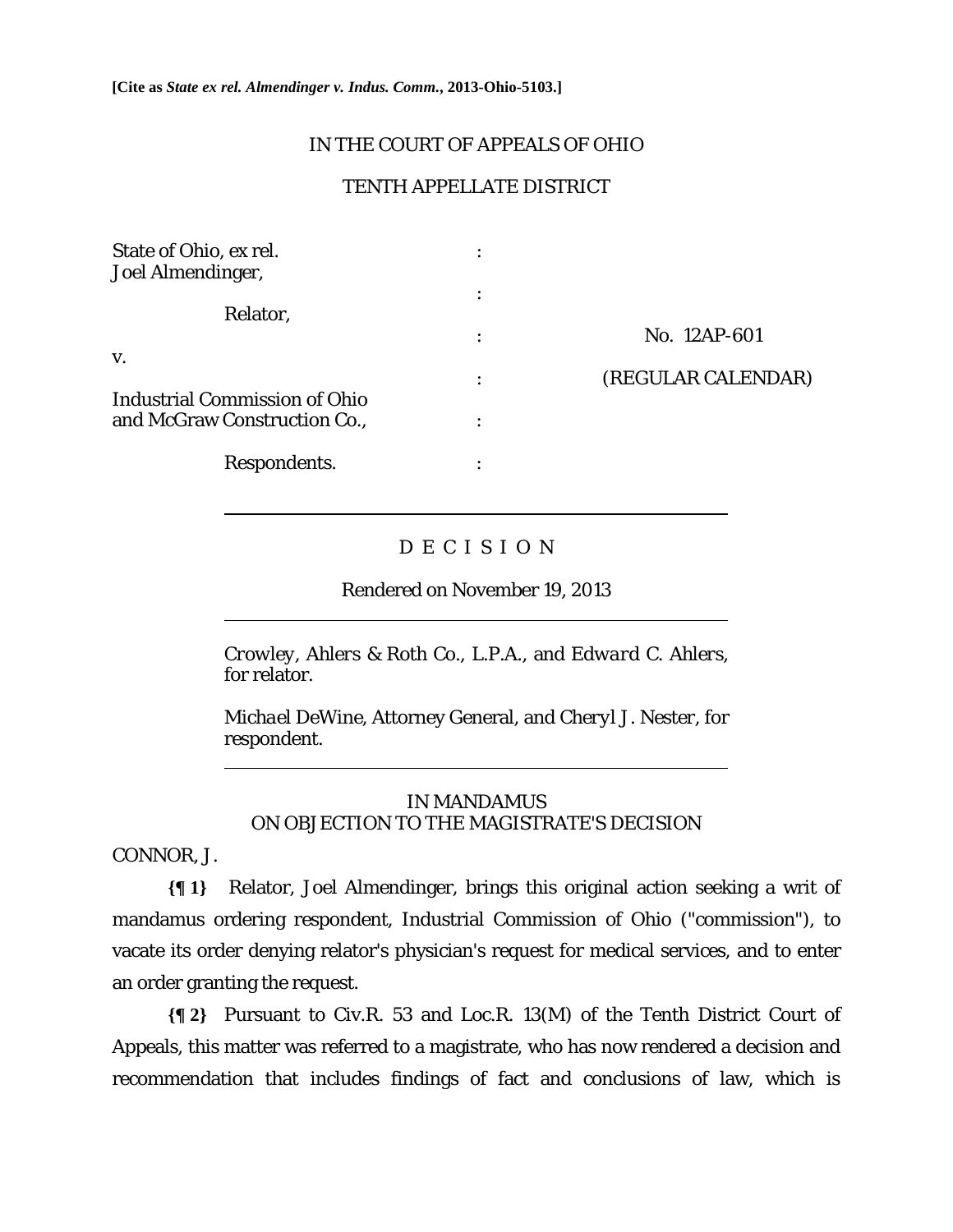**[Cite as** *State ex rel. Almendinger v. Indus. Comm.***, 2013-Ohio-5103.]**

# IN THE COURT OF APPEALS OF OHIO

# TENTH APPELLATE DISTRICT

| State of Ohio, ex rel.<br>Joel Almendinger,                          |   |                    |
|----------------------------------------------------------------------|---|--------------------|
| Relator,                                                             | ٠ |                    |
|                                                                      | ٠ | No. 12AP-601       |
| V.                                                                   | ٠ | (REGULAR CALENDAR) |
| <b>Industrial Commission of Ohio</b><br>and McGraw Construction Co., |   |                    |
| Respondents.                                                         |   |                    |

# D E C I S I O N

Rendered on November 19, 2013

*Crowley, Ahlers & Roth Co., L.P.A.,* and *Edward C. Ahlers*, for relator.

*Michael DeWine*, Attorney General, and *Cheryl J. Nester,* for respondent.

# IN MANDAMUS ON OBJECTION TO THE MAGISTRATE'S DECISION

CONNOR, J.

 $\overline{a}$ 

 $\overline{a}$ 

 $\overline{a}$ 

**{¶ 1}** Relator, Joel Almendinger, brings this original action seeking a writ of mandamus ordering respondent, Industrial Commission of Ohio ("commission"), to vacate its order denying relator's physician's request for medical services, and to enter an order granting the request.

**{¶ 2}** Pursuant to Civ.R. 53 and Loc.R. 13(M) of the Tenth District Court of Appeals, this matter was referred to a magistrate, who has now rendered a decision and recommendation that includes findings of fact and conclusions of law, which is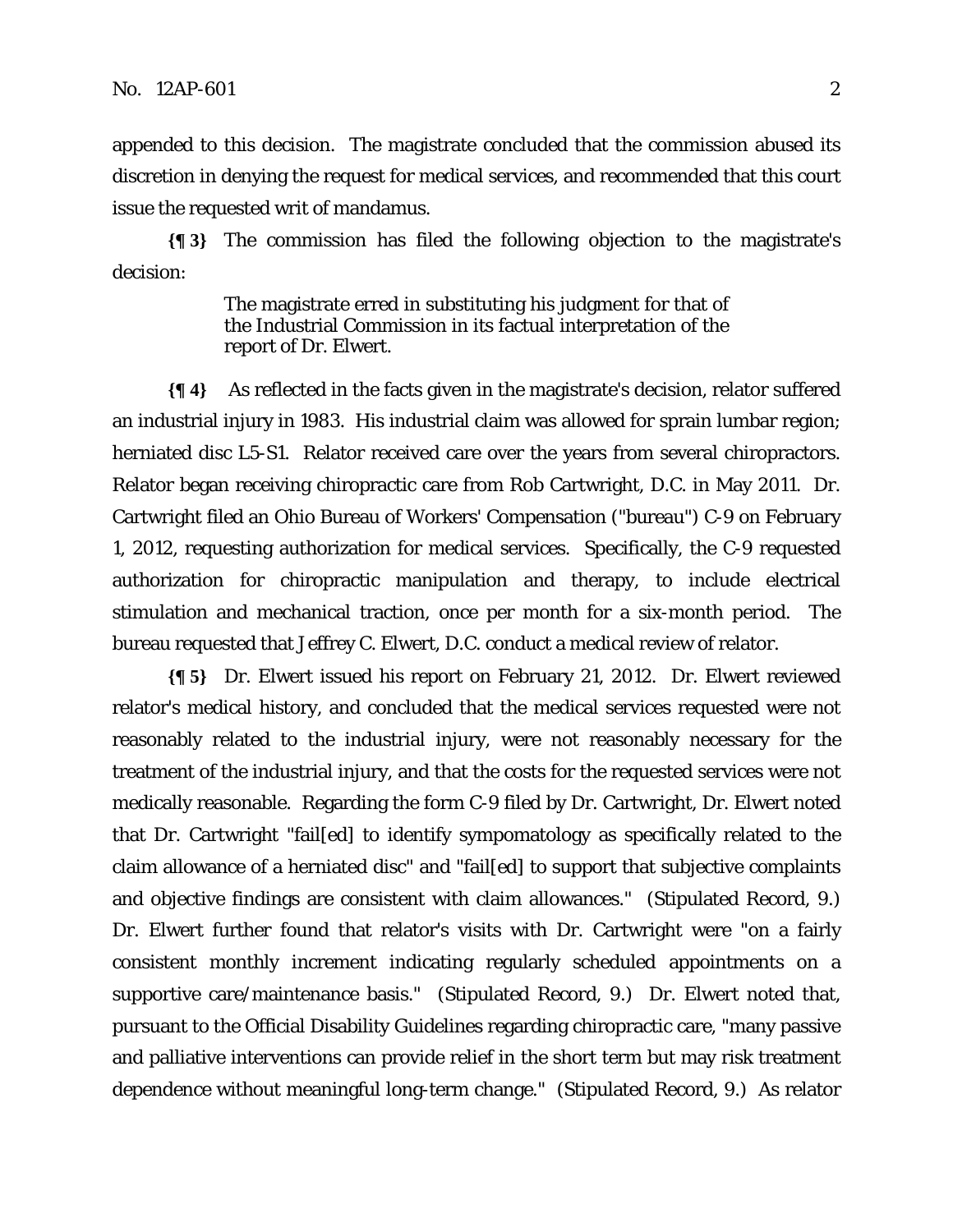appended to this decision. The magistrate concluded that the commission abused its discretion in denying the request for medical services, and recommended that this court issue the requested writ of mandamus.

**{¶ 3}** The commission has filed the following objection to the magistrate's decision:

> The magistrate erred in substituting his judgment for that of the Industrial Commission in its factual interpretation of the report of Dr. Elwert.

**{¶ 4}** As reflected in the facts given in the magistrate's decision, relator suffered an industrial injury in 1983. His industrial claim was allowed for sprain lumbar region; herniated disc L5-S1. Relator received care over the years from several chiropractors. Relator began receiving chiropractic care from Rob Cartwright, D.C. in May 2011. Dr. Cartwright filed an Ohio Bureau of Workers' Compensation ("bureau") C-9 on February 1, 2012, requesting authorization for medical services. Specifically, the C-9 requested authorization for chiropractic manipulation and therapy, to include electrical stimulation and mechanical traction, once per month for a six-month period. The bureau requested that Jeffrey C. Elwert, D.C. conduct a medical review of relator.

**{¶ 5}** Dr. Elwert issued his report on February 21, 2012. Dr. Elwert reviewed relator's medical history, and concluded that the medical services requested were not reasonably related to the industrial injury, were not reasonably necessary for the treatment of the industrial injury, and that the costs for the requested services were not medically reasonable. Regarding the form C-9 filed by Dr. Cartwright, Dr. Elwert noted that Dr. Cartwright "fail[ed] to identify sympomatology as specifically related to the claim allowance of a herniated disc" and "fail[ed] to support that subjective complaints and objective findings are consistent with claim allowances." (Stipulated Record, 9.) Dr. Elwert further found that relator's visits with Dr. Cartwright were "on a fairly consistent monthly increment indicating regularly scheduled appointments on a supportive care/maintenance basis." (Stipulated Record, 9.) Dr. Elwert noted that, pursuant to the Official Disability Guidelines regarding chiropractic care, "many passive and palliative interventions can provide relief in the short term but may risk treatment dependence without meaningful long-term change." (Stipulated Record, 9.) As relator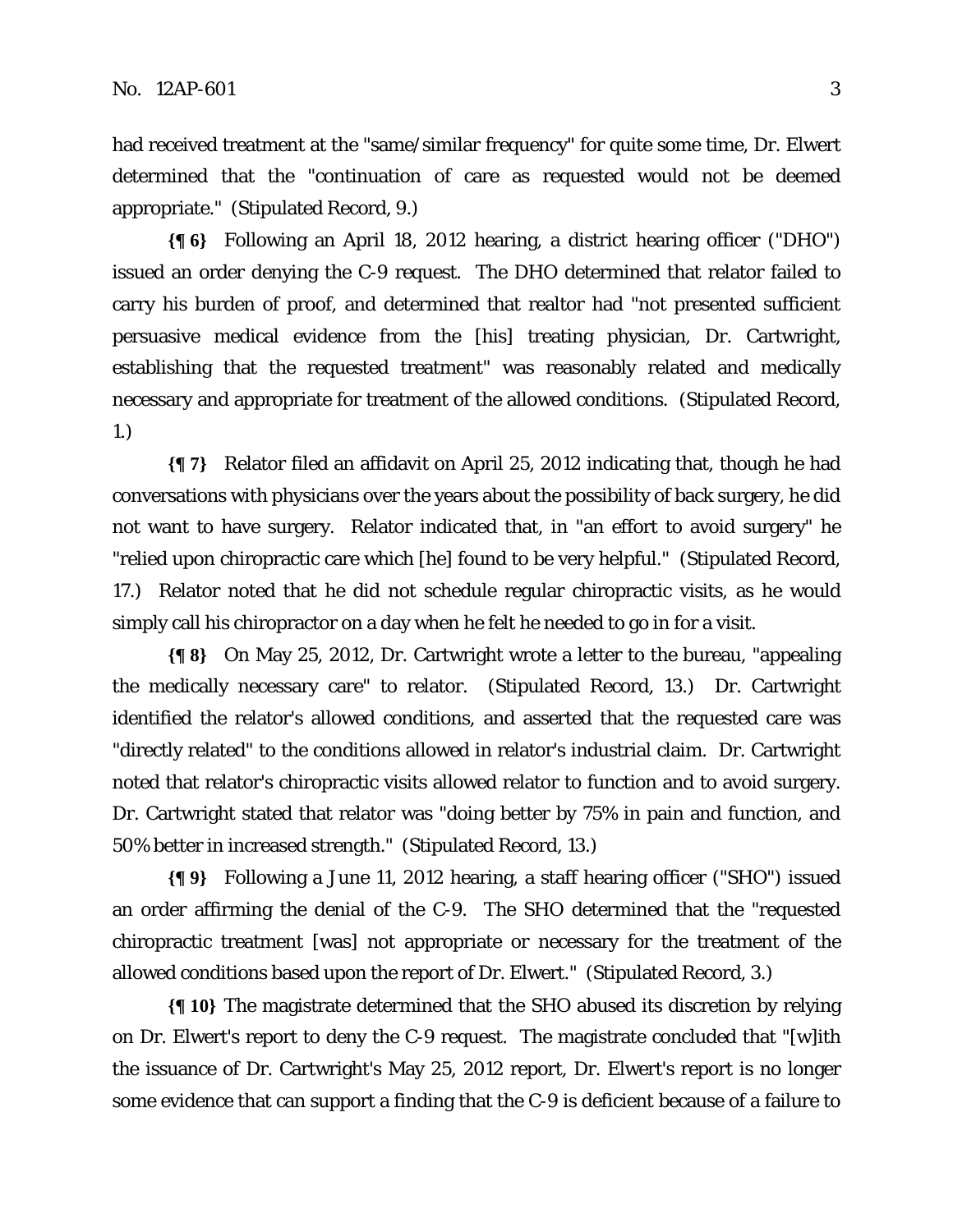had received treatment at the "same/similar frequency" for quite some time, Dr. Elwert determined that the "continuation of care as requested would not be deemed appropriate." (Stipulated Record, 9.)

**{¶ 6}** Following an April 18, 2012 hearing, a district hearing officer ("DHO") issued an order denying the C-9 request. The DHO determined that relator failed to carry his burden of proof, and determined that realtor had "not presented sufficient persuasive medical evidence from the [his] treating physician, Dr. Cartwright, establishing that the requested treatment" was reasonably related and medically necessary and appropriate for treatment of the allowed conditions. (Stipulated Record, 1.)

**{¶ 7}** Relator filed an affidavit on April 25, 2012 indicating that, though he had conversations with physicians over the years about the possibility of back surgery, he did not want to have surgery. Relator indicated that, in "an effort to avoid surgery" he "relied upon chiropractic care which [he] found to be very helpful." (Stipulated Record, 17.) Relator noted that he did not schedule regular chiropractic visits, as he would simply call his chiropractor on a day when he felt he needed to go in for a visit.

**{¶ 8}** On May 25, 2012, Dr. Cartwright wrote a letter to the bureau, "appealing the medically necessary care" to relator. (Stipulated Record, 13.) Dr. Cartwright identified the relator's allowed conditions, and asserted that the requested care was "directly related" to the conditions allowed in relator's industrial claim. Dr. Cartwright noted that relator's chiropractic visits allowed relator to function and to avoid surgery. Dr. Cartwright stated that relator was "doing better by 75% in pain and function, and 50% better in increased strength." (Stipulated Record, 13.)

**{¶ 9}** Following a June 11, 2012 hearing, a staff hearing officer ("SHO") issued an order affirming the denial of the C-9. The SHO determined that the "requested chiropractic treatment [was] not appropriate or necessary for the treatment of the allowed conditions based upon the report of Dr. Elwert." (Stipulated Record, 3.)

**{¶ 10}** The magistrate determined that the SHO abused its discretion by relying on Dr. Elwert's report to deny the C-9 request. The magistrate concluded that "[w]ith the issuance of Dr. Cartwright's May 25, 2012 report, Dr. Elwert's report is no longer some evidence that can support a finding that the C-9 is deficient because of a failure to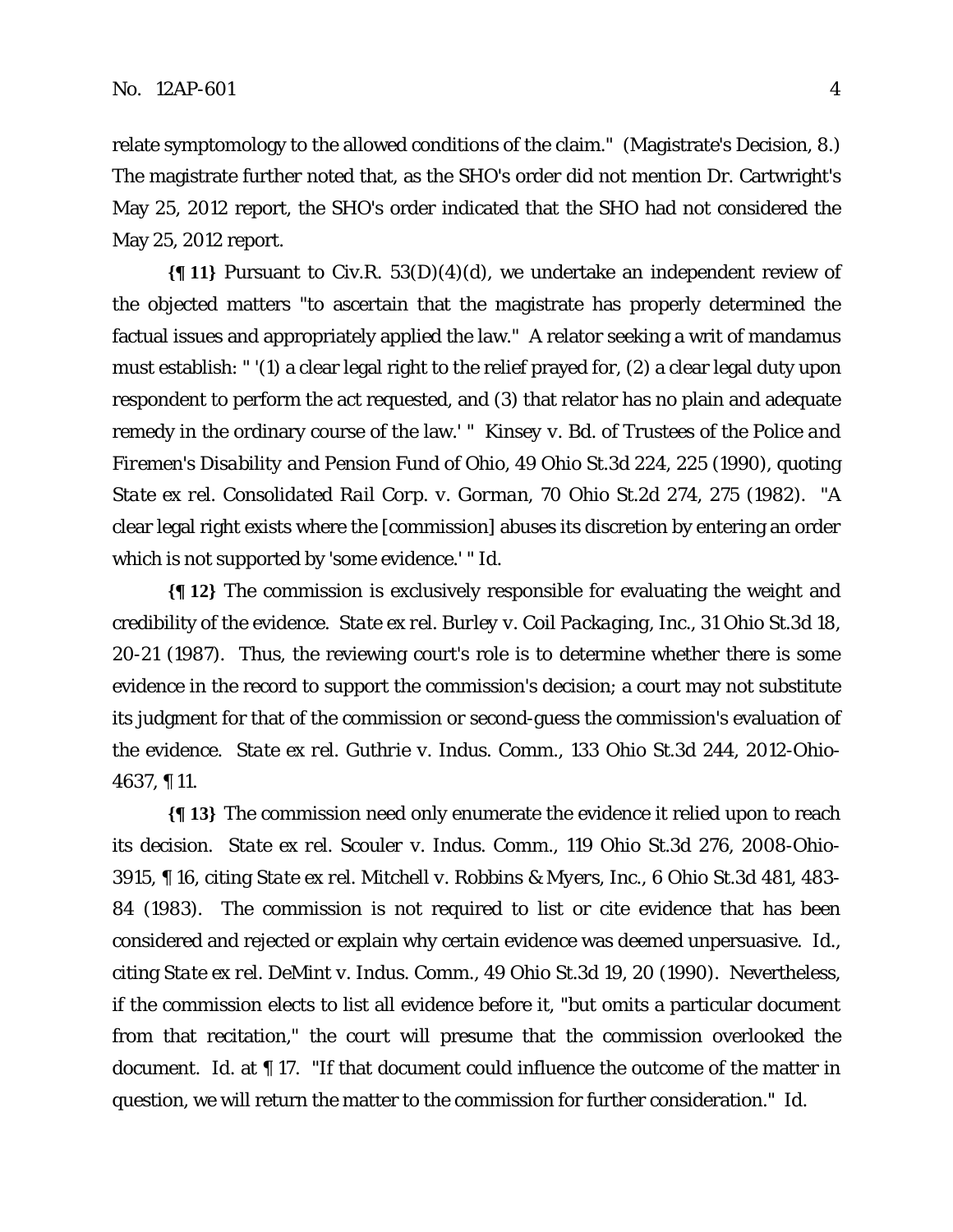relate symptomology to the allowed conditions of the claim." (Magistrate's Decision, 8.) The magistrate further noted that, as the SHO's order did not mention Dr. Cartwright's May 25, 2012 report, the SHO's order indicated that the SHO had not considered the May 25, 2012 report.

**{¶ 11}** Pursuant to Civ.R. 53(D)(4)(d), we undertake an independent review of the objected matters "to ascertain that the magistrate has properly determined the factual issues and appropriately applied the law." A relator seeking a writ of mandamus must establish: " '(1) a clear legal right to the relief prayed for, (2) a clear legal duty upon respondent to perform the act requested, and (3) that relator has no plain and adequate remedy in the ordinary course of the law.' " *Kinsey v. Bd. of Trustees of the Police and Firemen's Disability and Pension Fund of Ohio*, 49 Ohio St.3d 224, 225 (1990), quoting *State ex rel. Consolidated Rail Corp. v. Gorman*, 70 Ohio St.2d 274, 275 (1982). "A clear legal right exists where the [commission] abuses its discretion by entering an order which is not supported by 'some evidence.' " *Id.*

**{¶ 12}** The commission is exclusively responsible for evaluating the weight and credibility of the evidence. *State ex rel. Burley v. Coil Packaging, Inc.*, 31 Ohio St.3d 18, 20-21 (1987). Thus, the reviewing court's role is to determine whether there is some evidence in the record to support the commission's decision; a court may not substitute its judgment for that of the commission or second-guess the commission's evaluation of the evidence. *State ex rel. Guthrie v. Indus. Comm.*, 133 Ohio St.3d 244, 2012-Ohio-4637, ¶ 11.

**{¶ 13}** The commission need only enumerate the evidence it relied upon to reach its decision. *State ex rel. Scouler v. Indus. Comm.*, 119 Ohio St.3d 276, 2008-Ohio-3915, ¶ 16, citing *State ex rel. Mitchell v. Robbins & Myers, Inc.*, 6 Ohio St.3d 481, 483- 84 (1983). The commission is not required to list or cite evidence that has been considered and rejected or explain why certain evidence was deemed unpersuasive. *Id.*, citing *State ex rel. DeMint v. Indus. Comm.*, 49 Ohio St.3d 19, 20 (1990). Nevertheless, if the commission elects to list all evidence before it, "but omits a particular document from that recitation," the court will presume that the commission overlooked the document. *Id*. at ¶ 17. "If that document could influence the outcome of the matter in question, we will return the matter to the commission for further consideration." *Id*.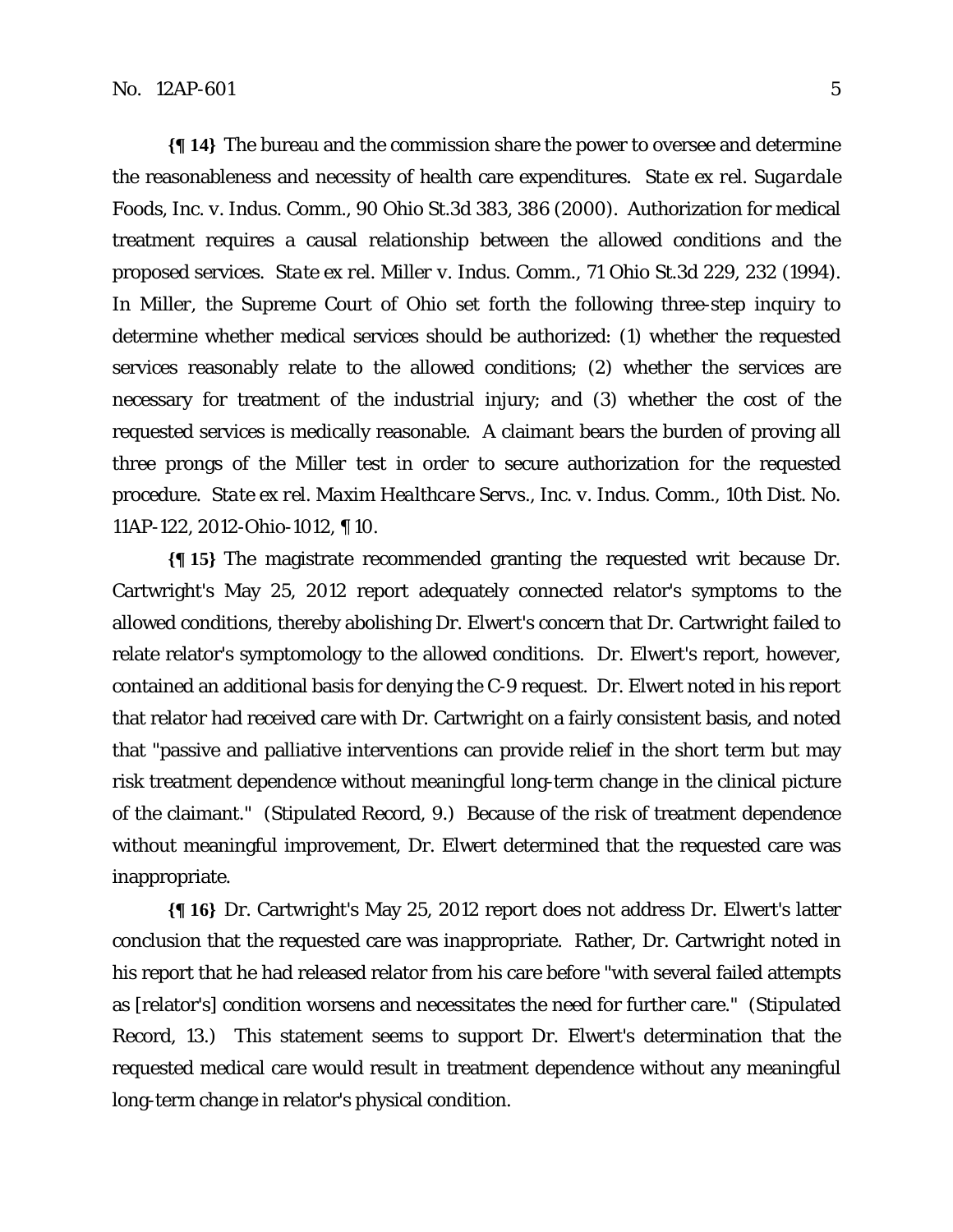**{¶ 14}** The bureau and the commission share the power to oversee and determine the reasonableness and necessity of health care expenditures. *State ex rel. Sugardale Foods, Inc. v. Indus. Comm.*, 90 Ohio St.3d 383, 386 (2000). Authorization for medical treatment requires a causal relationship between the allowed conditions and the proposed services. *State ex rel. Miller v. Indus. Comm.*, 71 Ohio St.3d 229, 232 (1994). In *Miller*, the Supreme Court of Ohio set forth the following three-step inquiry to determine whether medical services should be authorized: (1) whether the requested services reasonably relate to the allowed conditions; (2) whether the services are necessary for treatment of the industrial injury; and (3) whether the cost of the requested services is medically reasonable. A claimant bears the burden of proving all three prongs of the *Miller* test in order to secure authorization for the requested procedure. *State ex rel. Maxim Healthcare Servs., Inc. v. Indus. Comm.*, 10th Dist. No. 11AP-122, 2012-Ohio-1012, ¶ 10.

**{¶ 15}** The magistrate recommended granting the requested writ because Dr. Cartwright's May 25, 2012 report adequately connected relator's symptoms to the allowed conditions, thereby abolishing Dr. Elwert's concern that Dr. Cartwright failed to relate relator's symptomology to the allowed conditions. Dr. Elwert's report, however, contained an additional basis for denying the C-9 request. Dr. Elwert noted in his report that relator had received care with Dr. Cartwright on a fairly consistent basis, and noted that "passive and palliative interventions can provide relief in the short term but may risk treatment dependence without meaningful long-term change in the clinical picture of the claimant." (Stipulated Record, 9.) Because of the risk of treatment dependence without meaningful improvement, Dr. Elwert determined that the requested care was inappropriate.

**{¶ 16}** Dr. Cartwright's May 25, 2012 report does not address Dr. Elwert's latter conclusion that the requested care was inappropriate. Rather, Dr. Cartwright noted in his report that he had released relator from his care before "with several failed attempts as [relator's] condition worsens and necessitates the need for further care." (Stipulated Record, 13.) This statement seems to support Dr. Elwert's determination that the requested medical care would result in treatment dependence without any meaningful long-term change in relator's physical condition.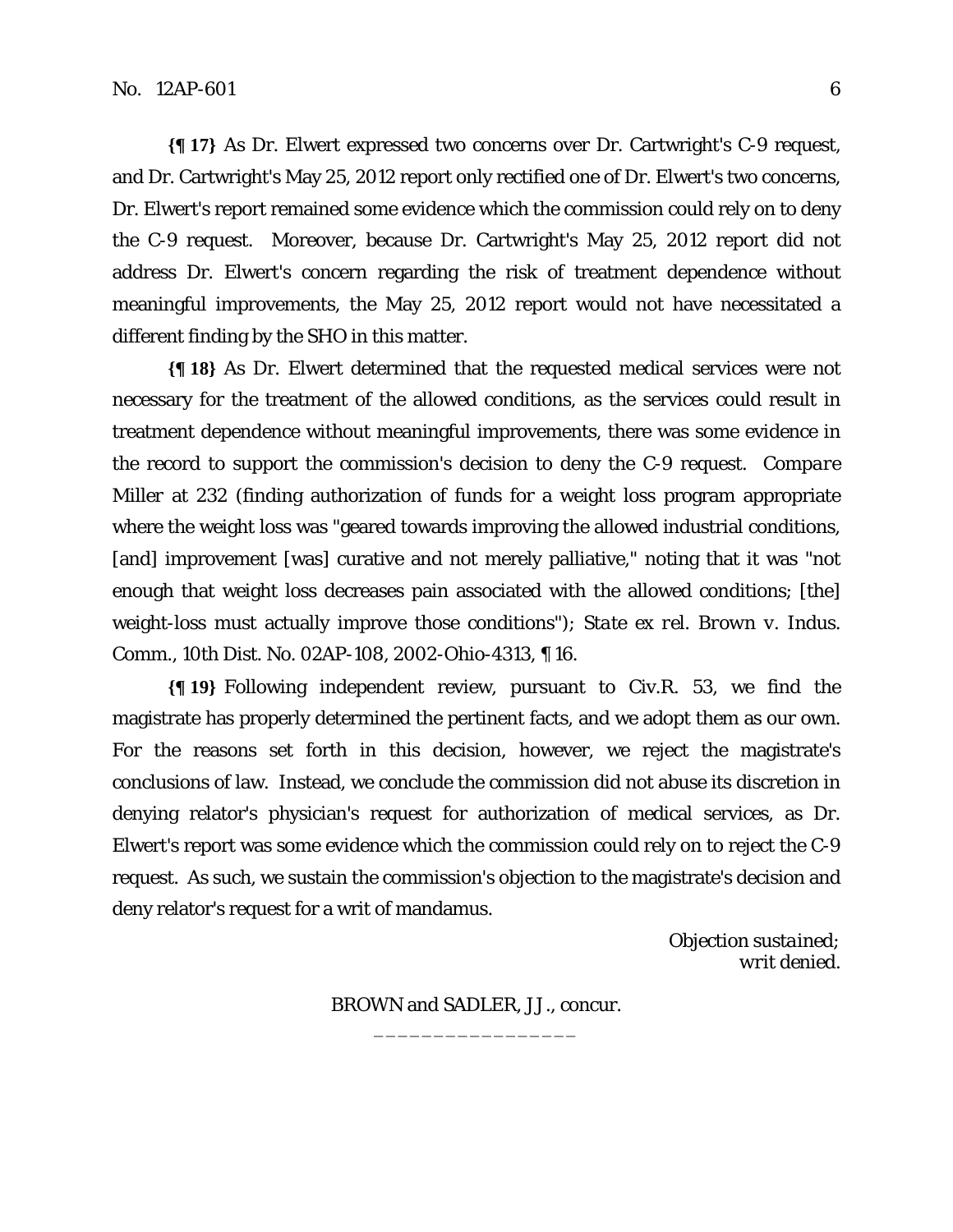**{¶ 17}** As Dr. Elwert expressed two concerns over Dr. Cartwright's C-9 request, and Dr. Cartwright's May 25, 2012 report only rectified one of Dr. Elwert's two concerns, Dr. Elwert's report remained some evidence which the commission could rely on to deny the C-9 request. Moreover, because Dr. Cartwright's May 25, 2012 report did not address Dr. Elwert's concern regarding the risk of treatment dependence without meaningful improvements, the May 25, 2012 report would not have necessitated a different finding by the SHO in this matter.

**{¶ 18}** As Dr. Elwert determined that the requested medical services were not necessary for the treatment of the allowed conditions, as the services could result in treatment dependence without meaningful improvements, there was some evidence in the record to support the commission's decision to deny the C-9 request. *Compare Miller* at 232 (finding authorization of funds for a weight loss program appropriate where the weight loss was "geared towards improving the allowed industrial conditions, [and] improvement [was] curative and not merely palliative," noting that it was "not enough that weight loss decreases pain associated with the allowed conditions; [the] weight-loss must actually improve those conditions"); *State ex rel. Brown v. Indus. Comm.*, 10th Dist. No. 02AP-108, 2002-Ohio-4313, ¶ 16.

**{¶ 19}** Following independent review, pursuant to Civ.R. 53, we find the magistrate has properly determined the pertinent facts, and we adopt them as our own. For the reasons set forth in this decision, however, we reject the magistrate's conclusions of law. Instead, we conclude the commission did not abuse its discretion in denying relator's physician's request for authorization of medical services, as Dr. Elwert's report was some evidence which the commission could rely on to reject the C-9 request. As such, we sustain the commission's objection to the magistrate's decision and deny relator's request for a writ of mandamus.

> *Objection sustained; writ denied.*

BROWN and SADLER, JJ., concur. \_\_\_\_\_\_\_\_\_\_\_\_\_\_\_\_\_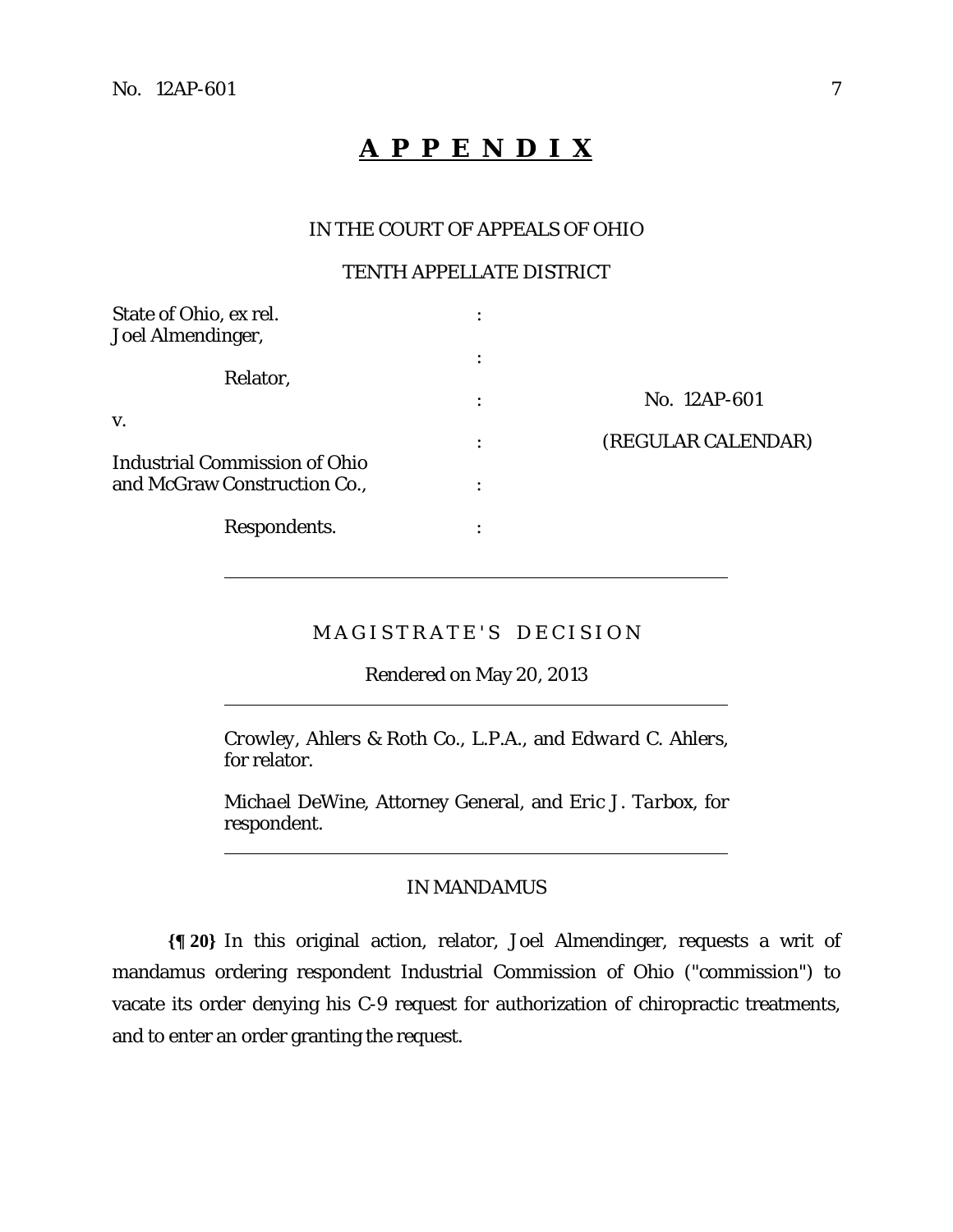$\overline{a}$ 

 $\overline{a}$ 

 $\overline{a}$ 

# **A P P E N D I X**

### IN THE COURT OF APPEALS OF OHIO

## TENTH APPELLATE DISTRICT

| State of Ohio, ex rel.<br>Joel Almendinger,                   |   |                    |
|---------------------------------------------------------------|---|--------------------|
| Relator,                                                      |   |                    |
| V.                                                            | ٠ | No. 12AP-601       |
|                                                               | ٠ | (REGULAR CALENDAR) |
| Industrial Commission of Ohio<br>and McGraw Construction Co., |   |                    |
| Respondents.                                                  |   |                    |

# MAGISTRATE'S DECISION

Rendered on May 20, 2013

*Crowley, Ahlers & Roth Co., L.P.A.,* and *Edward C. Ahlers*, for relator.

*Michael DeWine*, Attorney General, and *Eric J. Tarbox,* for respondent.

### IN MANDAMUS

**{¶ 20}** In this original action, relator, Joel Almendinger, requests a writ of mandamus ordering respondent Industrial Commission of Ohio ("commission") to vacate its order denying his C-9 request for authorization of chiropractic treatments, and to enter an order granting the request.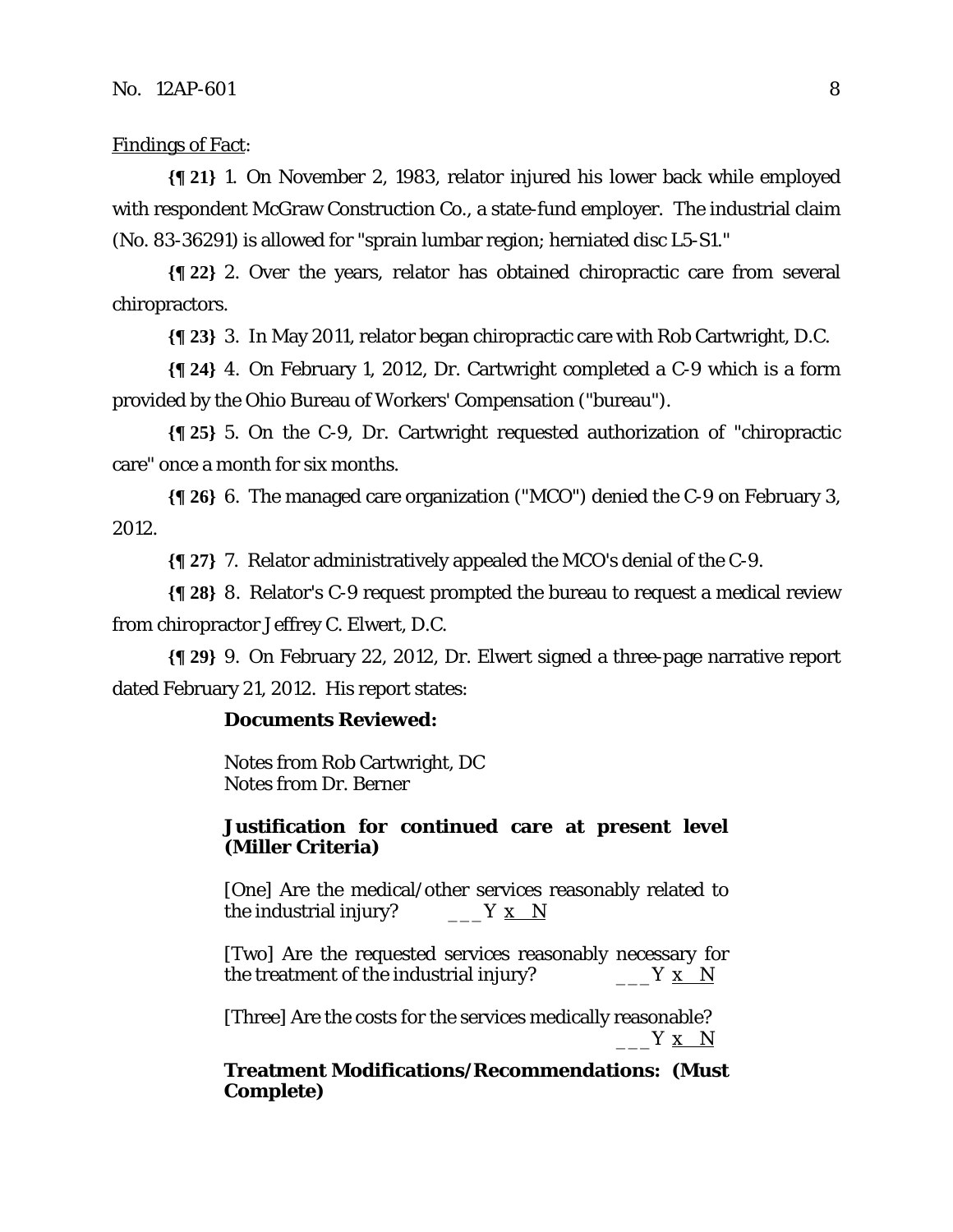## Findings of Fact:

**{¶ 21}** 1. On November 2, 1983, relator injured his lower back while employed with respondent McGraw Construction Co., a state-fund employer. The industrial claim (No. 83-36291) is allowed for "sprain lumbar region; herniated disc L5-S1."

**{¶ 22}** 2. Over the years, relator has obtained chiropractic care from several chiropractors.

**{¶ 23}** 3. In May 2011, relator began chiropractic care with Rob Cartwright, D.C.

**{¶ 24}** 4. On February 1, 2012, Dr. Cartwright completed a C-9 which is a form provided by the Ohio Bureau of Workers' Compensation ("bureau").

**{¶ 25}** 5. On the C-9, Dr. Cartwright requested authorization of "chiropractic care" once a month for six months.

**{¶ 26}** 6. The managed care organization ("MCO") denied the C-9 on February 3, 2012.

**{¶ 27}** 7. Relator administratively appealed the MCO's denial of the C-9.

**{¶ 28}** 8. Relator's C-9 request prompted the bureau to request a medical review from chiropractor Jeffrey C. Elwert, D.C.

**{¶ 29}** 9. On February 22, 2012, Dr. Elwert signed a three-page narrative report dated February 21, 2012. His report states:

### **Documents Reviewed:**

Notes from Rob Cartwright, DC Notes from Dr. Berner

### **Justification for continued care at present level (Miller Criteria)**

[One] Are the medical/other services reasonably related to the industrial injury? \_\_\_\_\_Y  $x \over N$ 

[Two] Are the requested services reasonably necessary for the treatment of the industrial injury?  $\begin{array}{cc} \n\overline{\phantom{a}} & \overline{\phantom{a}} & \overline{\phantom{a}} & \overline{\phantom{a}} & \overline{\phantom{a}} & \overline{\phantom{a}} & \overline{\phantom{a}} & \overline{\phantom{a}} & \overline{\phantom{a}} & \overline{\phantom{a}} & \overline{\phantom{a}} & \overline{\phantom{a}} & \overline{\phantom{a}} & \overline{\phantom{a}} & \overline{\phantom{a}} & \overline{\phantom{a}} & \overline{\phantom{a}} & \$ 

[Three] Are the costs for the services medically reasonable?  $Y \times N$ 

**Treatment Modifications/Recommendations: (Must Complete)**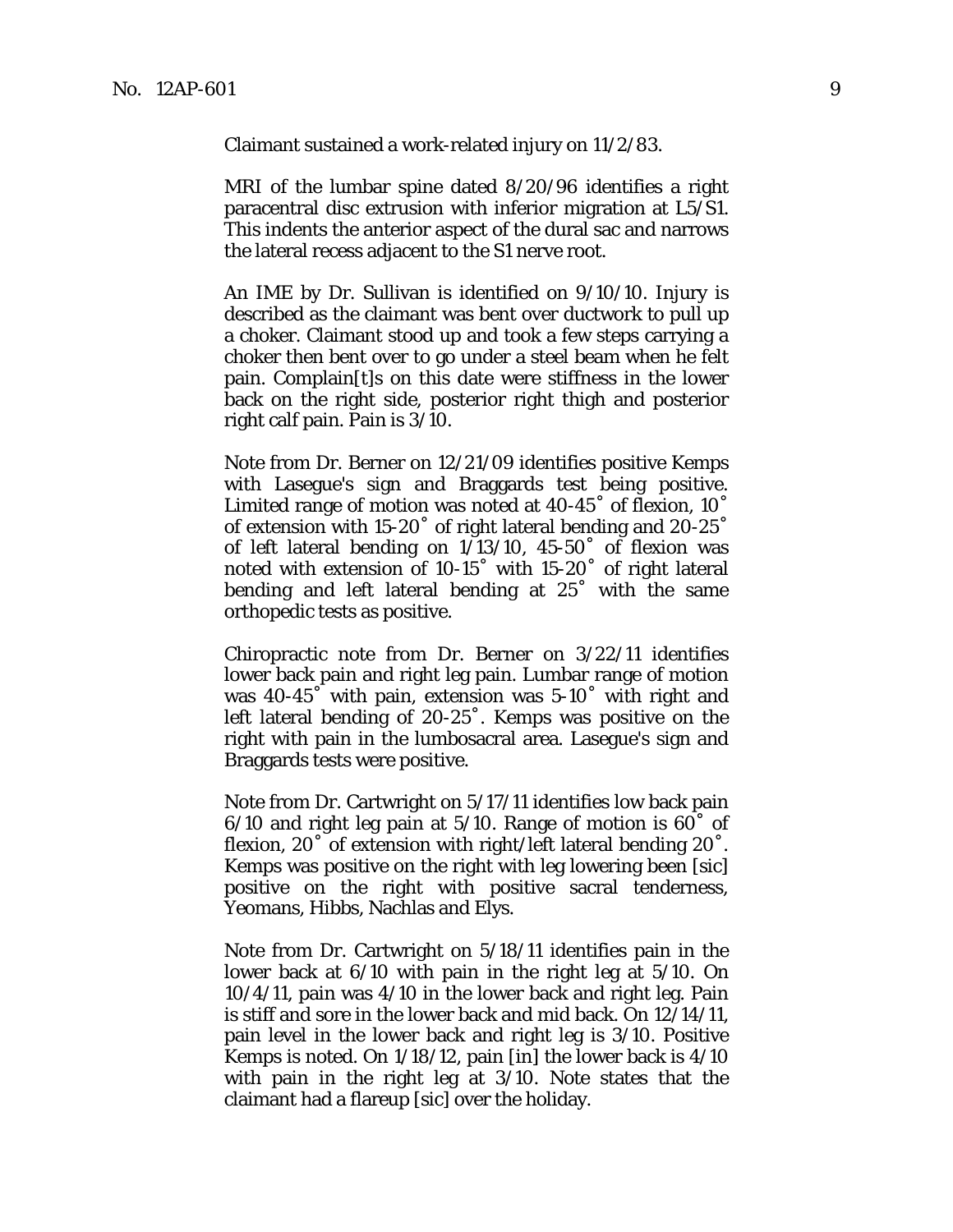Claimant sustained a work-related injury on 11/2/83.

MRI of the lumbar spine dated 8/20/96 identifies a right paracentral disc extrusion with inferior migration at L5/S1. This indents the anterior aspect of the dural sac and narrows the lateral recess adjacent to the S1 nerve root.

An IME by Dr. Sullivan is identified on 9/10/10. Injury is described as the claimant was bent over ductwork to pull up a choker. Claimant stood up and took a few steps carrying a choker then bent over to go under a steel beam when he felt pain. Complain[t]s on this date were stiffness in the lower back on the right side, posterior right thigh and posterior right calf pain. Pain is 3/10.

Note from Dr. Berner on 12/21/09 identifies positive Kemps with Lasegue's sign and Braggards test being positive. Limited range of motion was noted at 40-45˚ of flexion, 10˚ of extension with 15-20˚ of right lateral bending and 20-25˚ of left lateral bending on 1/13/10, 45-50˚ of flexion was noted with extension of 10-15˚ with 15-20˚ of right lateral bending and left lateral bending at 25˚ with the same orthopedic tests as positive.

Chiropractic note from Dr. Berner on 3/22/11 identifies lower back pain and right leg pain. Lumbar range of motion was 40-45˚ with pain, extension was 5-10˚ with right and left lateral bending of 20-25˚. Kemps was positive on the right with pain in the lumbosacral area. Lasegue's sign and Braggards tests were positive.

Note from Dr. Cartwright on 5/17/11 identifies low back pain 6/10 and right leg pain at 5/10. Range of motion is 60˚ of flexion, 20° of extension with right/left lateral bending 20°. Kemps was positive on the right with leg lowering been [sic] positive on the right with positive sacral tenderness, Yeomans, Hibbs, Nachlas and Elys.

Note from Dr. Cartwright on 5/18/11 identifies pain in the lower back at 6/10 with pain in the right leg at 5/10. On 10/4/11, pain was 4/10 in the lower back and right leg. Pain is stiff and sore in the lower back and mid back. On 12/14/11, pain level in the lower back and right leg is 3/10. Positive Kemps is noted. On 1/18/12, pain [in] the lower back is 4/10 with pain in the right leg at 3/10. Note states that the claimant had a flareup [sic] over the holiday.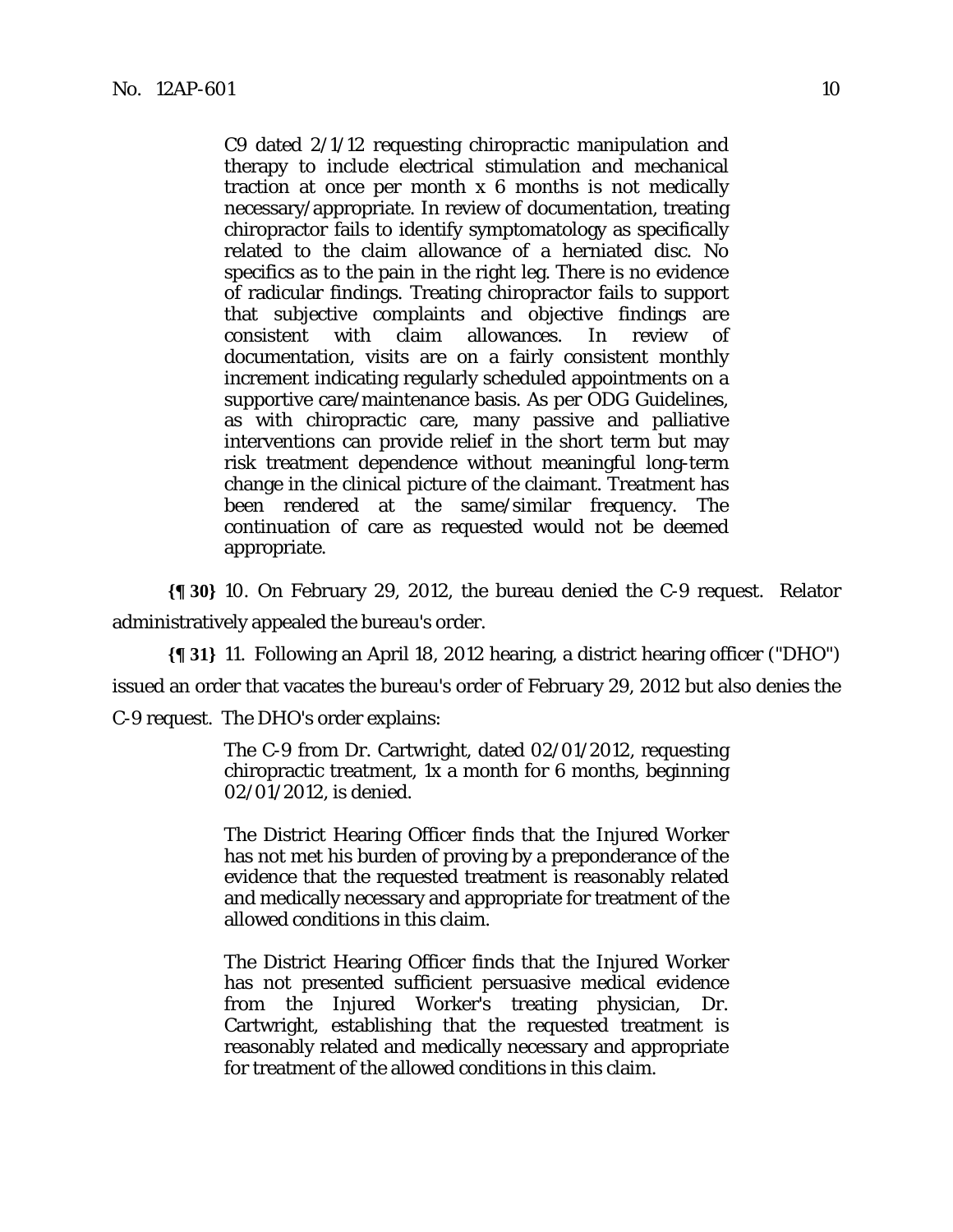C9 dated 2/1/12 requesting chiropractic manipulation and therapy to include electrical stimulation and mechanical traction at once per month x 6 months is not medically necessary/appropriate. In review of documentation, treating chiropractor fails to identify symptomatology as specifically related to the claim allowance of a herniated disc. No specifics as to the pain in the right leg. There is no evidence of radicular findings. Treating chiropractor fails to support that subjective complaints and objective findings are consistent with claim allowances. In review of documentation, visits are on a fairly consistent monthly increment indicating regularly scheduled appointments on a supportive care/maintenance basis. As per ODG Guidelines, as with chiropractic care, many passive and palliative interventions can provide relief in the short term but may risk treatment dependence without meaningful long-term change in the clinical picture of the claimant. Treatment has been rendered at the same/similar frequency. The continuation of care as requested would not be deemed appropriate.

**{¶ 30}** 10. On February 29, 2012, the bureau denied the C-9 request. Relator administratively appealed the bureau's order.

**{¶ 31}** 11. Following an April 18, 2012 hearing, a district hearing officer ("DHO") issued an order that vacates the bureau's order of February 29, 2012 but also denies the C-9 request. The DHO's order explains:

> The C-9 from Dr. Cartwright, dated 02/01/2012, requesting chiropractic treatment, 1x a month for 6 months, beginning 02/01/2012, is denied.

> The District Hearing Officer finds that the Injured Worker has not met his burden of proving by a preponderance of the evidence that the requested treatment is reasonably related and medically necessary and appropriate for treatment of the allowed conditions in this claim.

> The District Hearing Officer finds that the Injured Worker has not presented sufficient persuasive medical evidence from the Injured Worker's treating physician, Dr. Cartwright, establishing that the requested treatment is reasonably related and medically necessary and appropriate for treatment of the allowed conditions in this claim.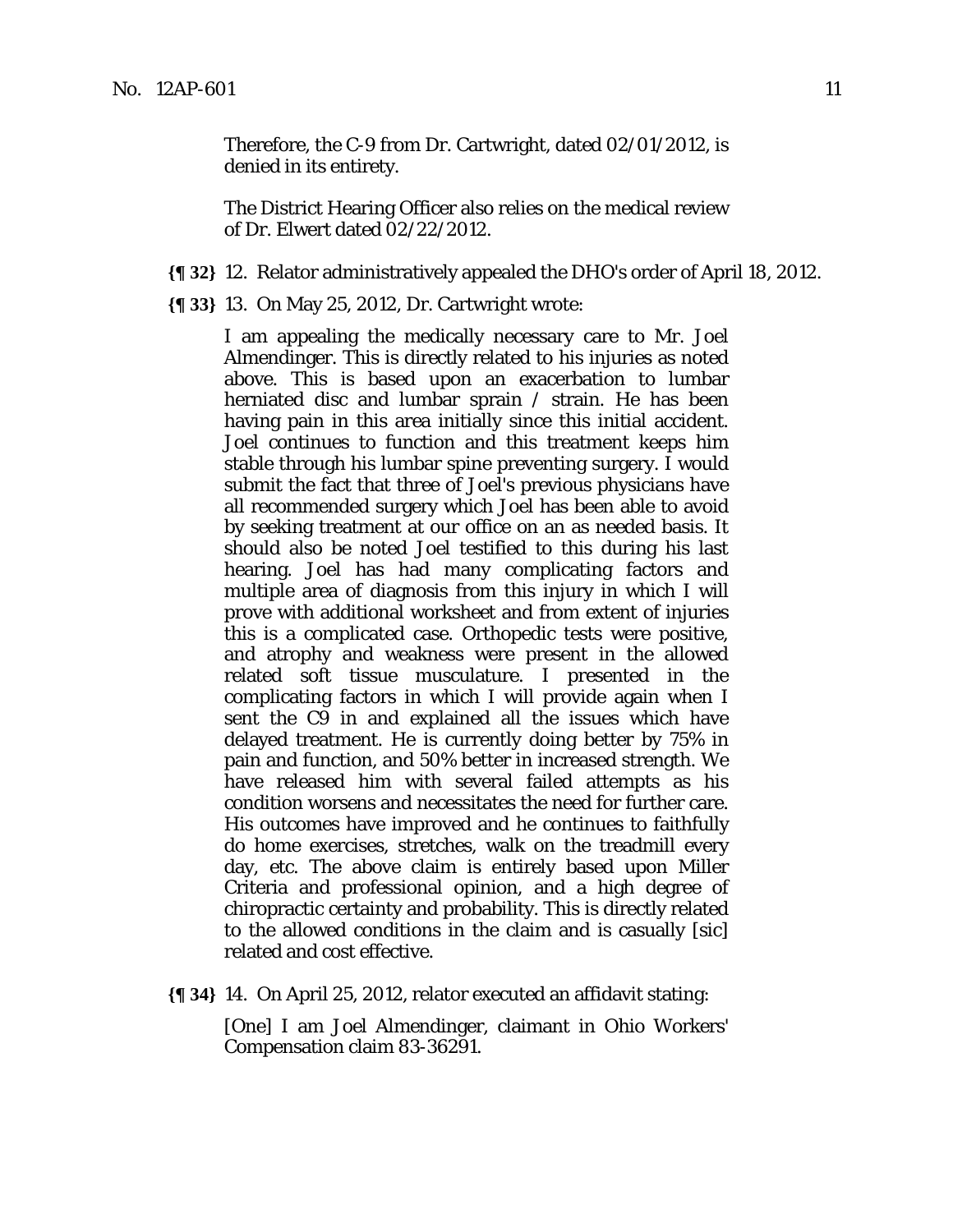Therefore, the C-9 from Dr. Cartwright, dated 02/01/2012, is denied in its entirety.

The District Hearing Officer also relies on the medical review of Dr. Elwert dated 02/22/2012.

- **{¶ 32}** 12. Relator administratively appealed the DHO's order of April 18, 2012.
- **{¶ 33}** 13. On May 25, 2012, Dr. Cartwright wrote:

I am appealing the medically necessary care to Mr. Joel Almendinger. This is directly related to his injuries as noted above. This is based upon an exacerbation to lumbar herniated disc and lumbar sprain / strain. He has been having pain in this area initially since this initial accident. Joel continues to function and this treatment keeps him stable through his lumbar spine preventing surgery. I would submit the fact that three of Joel's previous physicians have all recommended surgery which Joel has been able to avoid by seeking treatment at our office on an as needed basis. It should also be noted Joel testified to this during his last hearing. Joel has had many complicating factors and multiple area of diagnosis from this injury in which I will prove with additional worksheet and from extent of injuries this is a complicated case. Orthopedic tests were positive, and atrophy and weakness were present in the allowed related soft tissue musculature. I presented in the complicating factors in which I will provide again when I sent the C9 in and explained all the issues which have delayed treatment. He is currently doing better by 75% in pain and function, and 50% better in increased strength. We have released him with several failed attempts as his condition worsens and necessitates the need for further care. His outcomes have improved and he continues to faithfully do home exercises, stretches, walk on the treadmill every day, etc. The above claim is entirely based upon Miller Criteria and professional opinion, and a high degree of chiropractic certainty and probability. This is directly related to the allowed conditions in the claim and is casually [sic] related and cost effective.

**{¶ 34}** 14. On April 25, 2012, relator executed an affidavit stating:

[One] I am Joel Almendinger, claimant in Ohio Workers' Compensation claim 83-36291.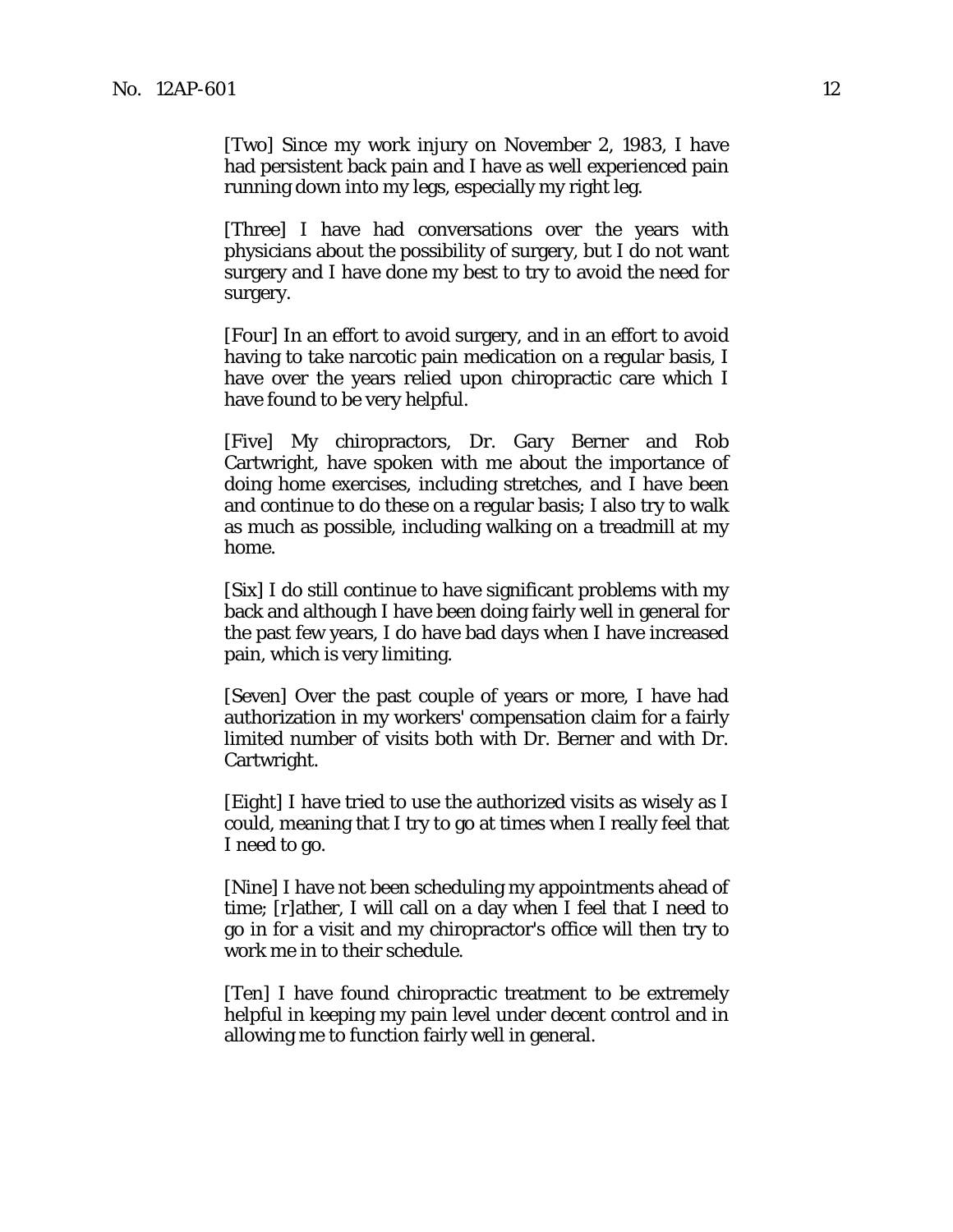[Two] Since my work injury on November 2, 1983, I have had persistent back pain and I have as well experienced pain running down into my legs, especially my right leg.

[Three] I have had conversations over the years with physicians about the possibility of surgery, but I do not want surgery and I have done my best to try to avoid the need for surgery.

[Four] In an effort to avoid surgery, and in an effort to avoid having to take narcotic pain medication on a regular basis, I have over the years relied upon chiropractic care which I have found to be very helpful.

[Five] My chiropractors, Dr. Gary Berner and Rob Cartwright, have spoken with me about the importance of doing home exercises, including stretches, and I have been and continue to do these on a regular basis; I also try to walk as much as possible, including walking on a treadmill at my home.

[Six] I do still continue to have significant problems with my back and although I have been doing fairly well in general for the past few years, I do have bad days when I have increased pain, which is very limiting.

[Seven] Over the past couple of years or more, I have had authorization in my workers' compensation claim for a fairly limited number of visits both with Dr. Berner and with Dr. Cartwright.

[Eight] I have tried to use the authorized visits as wisely as I could, meaning that I try to go at times when I really feel that I need to go.

[Nine] I have not been scheduling my appointments ahead of time; [r]ather, I will call on a day when I feel that I need to go in for a visit and my chiropractor's office will then try to work me in to their schedule.

[Ten] I have found chiropractic treatment to be extremely helpful in keeping my pain level under decent control and in allowing me to function fairly well in general.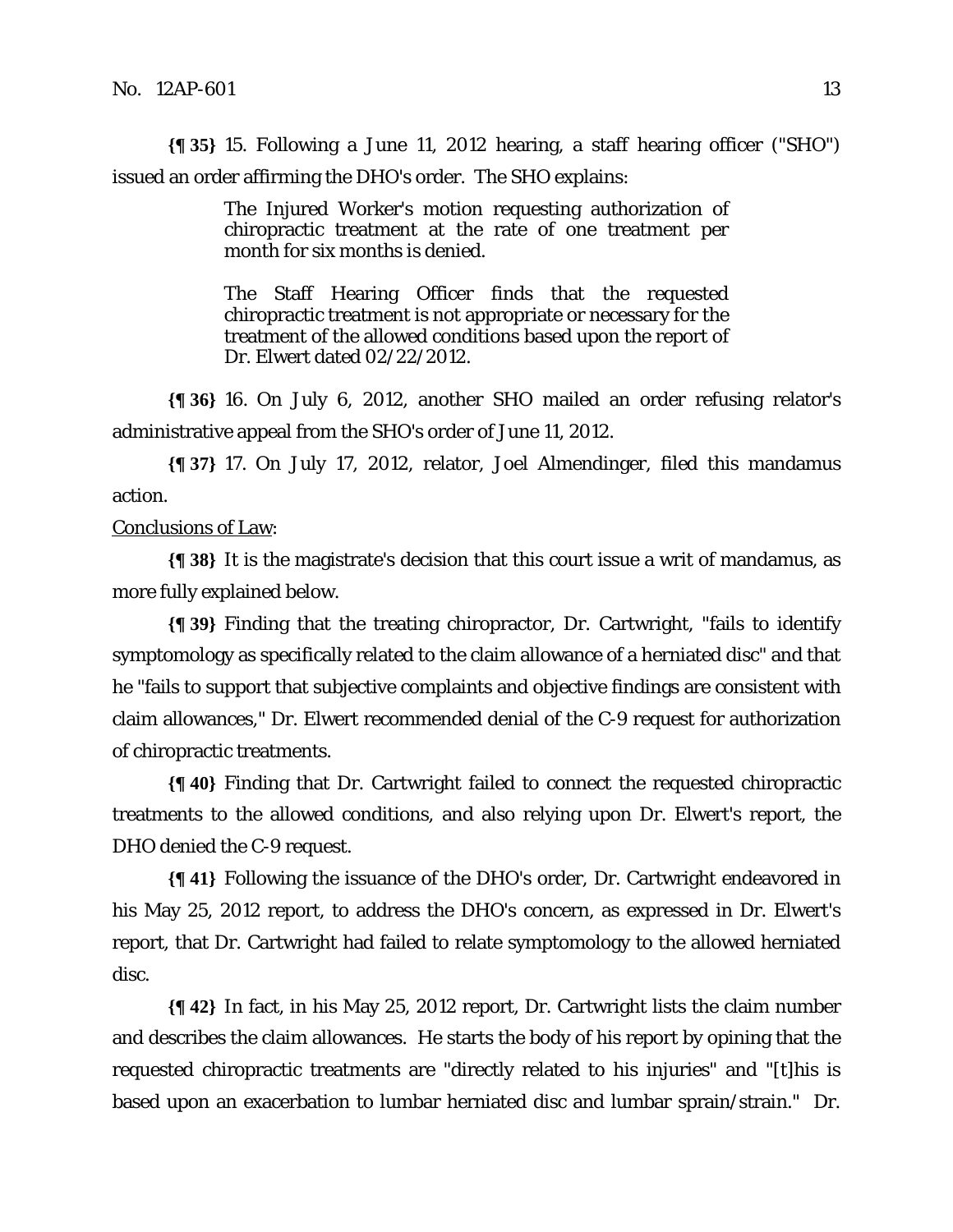**{¶ 35}** 15. Following a June 11, 2012 hearing, a staff hearing officer ("SHO") issued an order affirming the DHO's order. The SHO explains:

> The Injured Worker's motion requesting authorization of chiropractic treatment at the rate of one treatment per month for six months is denied.

> The Staff Hearing Officer finds that the requested chiropractic treatment is not appropriate or necessary for the treatment of the allowed conditions based upon the report of Dr. Elwert dated 02/22/2012.

**{¶ 36}** 16. On July 6, 2012, another SHO mailed an order refusing relator's administrative appeal from the SHO's order of June 11, 2012.

**{¶ 37}** 17. On July 17, 2012, relator, Joel Almendinger, filed this mandamus action.

#### Conclusions of Law:

**{¶ 38}** It is the magistrate's decision that this court issue a writ of mandamus, as more fully explained below.

**{¶ 39}** Finding that the treating chiropractor, Dr. Cartwright, "fails to identify symptomology as specifically related to the claim allowance of a herniated disc" and that he "fails to support that subjective complaints and objective findings are consistent with claim allowances," Dr. Elwert recommended denial of the C-9 request for authorization of chiropractic treatments.

**{¶ 40}** Finding that Dr. Cartwright failed to connect the requested chiropractic treatments to the allowed conditions, and also relying upon Dr. Elwert's report, the DHO denied the C-9 request.

**{¶ 41}** Following the issuance of the DHO's order, Dr. Cartwright endeavored in his May 25, 2012 report, to address the DHO's concern, as expressed in Dr. Elwert's report, that Dr. Cartwright had failed to relate symptomology to the allowed herniated disc.

**{¶ 42}** In fact, in his May 25, 2012 report, Dr. Cartwright lists the claim number and describes the claim allowances. He starts the body of his report by opining that the requested chiropractic treatments are "directly related to his injuries" and "[t]his is based upon an exacerbation to lumbar herniated disc and lumbar sprain/strain." Dr.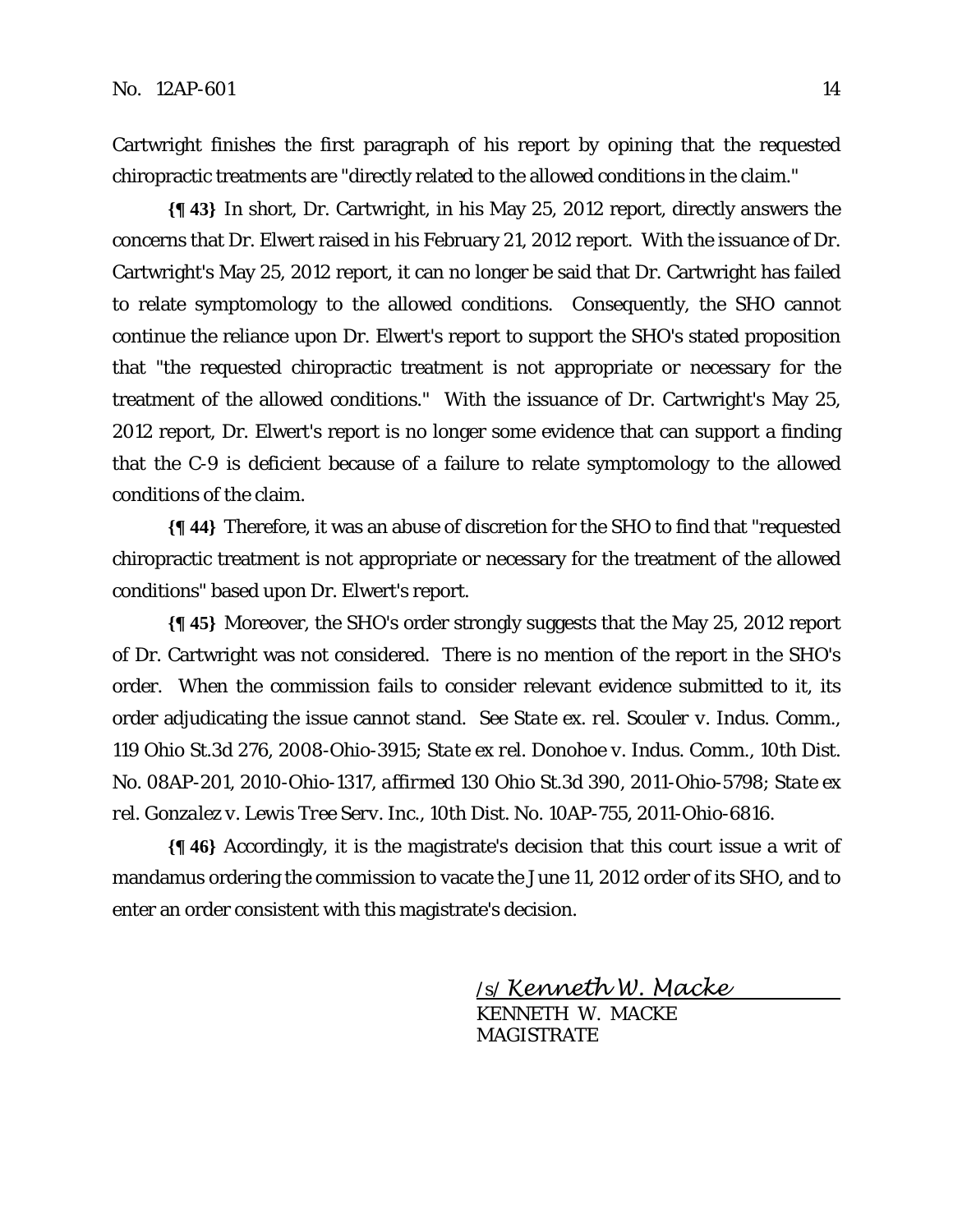Cartwright finishes the first paragraph of his report by opining that the requested chiropractic treatments are "directly related to the allowed conditions in the claim."

**{¶ 43}** In short, Dr. Cartwright, in his May 25, 2012 report, directly answers the concerns that Dr. Elwert raised in his February 21, 2012 report. With the issuance of Dr. Cartwright's May 25, 2012 report, it can no longer be said that Dr. Cartwright has failed to relate symptomology to the allowed conditions. Consequently, the SHO cannot continue the reliance upon Dr. Elwert's report to support the SHO's stated proposition that "the requested chiropractic treatment is not appropriate or necessary for the treatment of the allowed conditions." With the issuance of Dr. Cartwright's May 25, 2012 report, Dr. Elwert's report is no longer some evidence that can support a finding that the C-9 is deficient because of a failure to relate symptomology to the allowed conditions of the claim.

**{¶ 44}** Therefore, it was an abuse of discretion for the SHO to find that "requested chiropractic treatment is not appropriate or necessary for the treatment of the allowed conditions" based upon Dr. Elwert's report.

**{¶ 45}** Moreover, the SHO's order strongly suggests that the May 25, 2012 report of Dr. Cartwright was not considered. There is no mention of the report in the SHO's order. When the commission fails to consider relevant evidence submitted to it, its order adjudicating the issue cannot stand. *See State ex. rel. Scouler v. Indus. Comm.,* 119 Ohio St.3d 276, 2008-Ohio-3915; *State ex rel. Donohoe v. Indus. Comm.,* 10th Dist. No. 08AP-201, 2010-Ohio-1317, *affirmed* 130 Ohio St.3d 390, 2011-Ohio-5798; *State ex rel. Gonzalez v. Lewis Tree Serv. Inc.,* 10th Dist. No. 10AP-755, 2011-Ohio-6816.

**{¶ 46}** Accordingly, it is the magistrate's decision that this court issue a writ of mandamus ordering the commission to vacate the June 11, 2012 order of its SHO, and to enter an order consistent with this magistrate's decision.

> /s/ Kenneth W. Macke KENNETH W. MACKE

**MAGISTRATE**